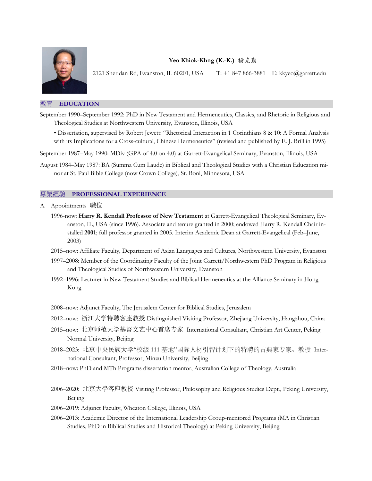

## **Yeo Khiok-Khng (K.-K.)** 楊克勤

2121 Sheridan Rd, Evanston, IL 60201, USA T: +1 847 866-3881 E: kkyeo@garrett.edu

## 教育 **EDUCATION**

- September 1990–September 1992: PhD in New Testament and Hermeneutics, Classics, and Rhetoric in Religious and Theological Studies at Northwestern University, Evanston, Illinois, USA
	- Dissertation, supervised by Robert Jewett: "Rhetorical Interaction in 1 Corinthians 8 & 10: A Formal Analysis with its Implications for a Cross-cultural, Chinese Hermeneutics" (revised and published by E. J. Brill in 1995)

September 1987–May 1990: MDiv (GPA of 4.0 on 4.0) at Garrett-Evangelical Seminary, Evanston, Illinois, USA

August 1984–May 1987: BA (Summa Cum Laude) in Biblical and Theological Studies with a Christian Education minor at St. Paul Bible College (now Crown College), St. Boni, Minnesota, USA

## 專業經驗 **PROFESSIONAL EXPERIENCE**

- A. Appointments 職位
	- 1996-now: **Harry R. Kendall Professor of New Testament** at Garrett-Evangelical Theological Seminary, Evanston, IL, USA (since 1996). Associate and tenure granted in 2000; endowed Harry R. Kendall Chair installed **2001**; full professor granted in 2005. Interim Academic Dean at Garrett-Evangelical (Feb–June, 2003)
	- 2015–now: Affiliate Faculty, Department of Asian Languages and Cultures, Northwestern University, Evanston
	- 1997–2008: Member of the Coordinating Faculty of the Joint Garrett/Northwestern PhD Program in Religious and Theological Studies of Northwestern University, Evanston
	- 1992–1996: Lecturer in New Testament Studies and Biblical Hermeneutics at the Alliance Seminary in Hong Kong
	- 2008–now: Adjunct Faculty, The Jerusalem Center for Biblical Studies, Jerusalem
	- 2012–now: 浙江大学特聘客座教授 Distinguished Visiting Professor, Zhejiang University, Hangzhou, China
	- 2015–now: 北京师范大学基督文艺中心首席专家 International Consultant, Christian Art Center, Peking Normal University, Beijing
	- 2018–2023: 北京中央民族⼤学"校级 111 基地"国际⼈材引智计划下的特聘的古典家专家、教授 International Consultant, Professor, Minzu University, Beijing
	- 2018–now: PhD and MTh Programs dissertation mentor, Australian College of Theology, Australia
	- 2006–2020: 北京大學客座教授 Visiting Professor, Philosophy and Religious Studies Dept., Peking University, Beijing
	- 2006–2019: Adjunct Faculty, Wheaton College, Illinois, USA
	- 2006–2013: Academic Director of the International Leadership Group-mentored Programs (MA in Christian Studies, PhD in Biblical Studies and Historical Theology) at Peking University, Beijing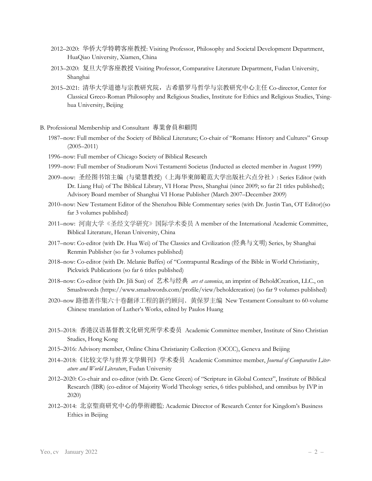- 2012–2020: 华侨大学特聘客座教授: Visiting Professor, Philosophy and Societal Development Department, HuaQiao University, Xiamen, China
- 2013–2020: 复旦大学客座教授 Visiting Professor, Comparative Literature Department, Fudan University, Shanghai
- 2015–2021: 清华大学道德与宗教研究院,古希腊罗马哲学与宗教研究中心主任 Co-director, Center for Classical Greco-Roman Philosophy and Religious Studies, Institute for Ethics and Religious Studies, Tsinghua University, Beijing
- B. Professional Membership and Consultant 專業會員和顧問
	- 1987–now: Full member of the Society of Biblical Literature; Co-chair of "Romans: History and Cultures" Group (2005–2011)
	- 1996–now: Full member of Chicago Society of Biblical Research
	- 1999–now: Full member of Studiorum Novi Testamenti Societas (Inducted as elected member in August 1999)
	- 2009–now: 圣经图书馆主编 (与梁慧教授)(上海华東師範范大学出版社六点分社): Series Editor (with Dr. Liang Hui) of The Biblical Library, VI Horae Press, Shanghai (since 2009; so far 21 titles published); Advisory Board member of Shanghai VI Horae Publisher (March 2007–December 2009)
	- 2010–now: New Testament Editor of the Shenzhou Bible Commentary series (with Dr. Justin Tan, OT Editor)(so far 3 volumes published)
	- 2011–now: 河南⼤学《圣经⽂学研究》国际学术委员 A member of the International Academic Committee, Biblical Literature, Henan University, China
	- 2017–now: Co-editor (with Dr. Hua Wei) of The Classics and Civilization (经典与文明) Series, by Shanghai Renmin Publisher (so far 3 volumes published)
	- 2018–now: Co-editor (with Dr. Melanie Baffes) of "Contrapuntal Readings of the Bible in World Christianity, Pickwick Publications (so far 6 titles published)
	- 2018–now: Co-editor (with Dr. Jili Sun) of 艺术与经典 *ars et canonica*, an imprint of BeholdCreation, LLC., on Smashwords (https://www.smashwords.com/profile/view/beholdcreation) (so far 9 volumes published)
	- 2020–now 路德著作集六十卷翻译工程的新约顾问,黄保罗主编 New Testament Consultant to 60-volume Chinese translation of Luther's Works, edited by Paulos Huang
	- 2015–2018: 香港汉语基督教文化研究所学术委员 Academic Committee member, Institute of Sino Christian Studies, Hong Kong
	- 2015–2016: Advisory member, Online China Christianity Collection (OCCC), Geneva and Beijing
	- 2014–2018:《比较文学与世界文学辑刊》学术委员 Academic Committee member, *Journal of Comparative Literature and World Literature*, Fudan University
	- 2012–2020: Co-chair and co-editor (with Dr. Gene Green) of "Scripture in Global Context", Institute of Biblical Research (IBR) (co-editor of Majority World Theology series, 6 titles published, and omnibus by IVP in 2020)
	- 2012–2014: 北京聖商研究中心的學術總監: Academic Director of Research Center for Kingdom's Business Ethics in Beijing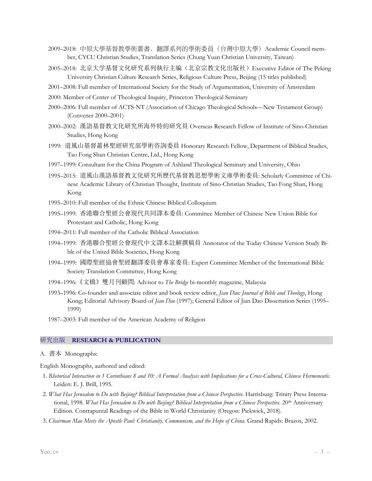- 2009–2018: 中原⼤學基督教學術叢書,翻譯系列的學術委員(台灣中原⼤學)Academic Council member, CYCU Christian Studies, Translation Series (Chung Yuan Christian University, Taiwan)
- 2005–2018: 北京大学基督文化研究系列執行主编(北京宗教文化出版社)Executive Editor of The Peking University Christian Culture Research Series, Religious Culture Press, Beijing (15 titles published)
- 2001–2008: Full member of International Society for the Study of Argumentation, University of Amsterdam
- 2000: Member of Center of Theological Inquiry, Princeton Theological Seminary
- 2000–2006: Full member of ACTS-NT (Association of Chicago Theological Schools––New Testament Group) (Convener 2000–2001)
- 2000–2002: 漢語基督教文化研究所海外特約研究員 Overseas Research Fellow of Institute of Sino-Christian Studies, Hong Kong
- 1999: 道風山基督叢林聖經研究部學術咨詢委員 Honorary Research Fellow, Department of Biblical Studies, Tao Fong Shan Christian Centre, Ltd., Hong Kong
- 1997–1999: Consultant for the China Program of Ashland Theological Seminary and University, Ohio
- 1995–2015: 道風山漢語基督教文化研究所歷代基督教思想學術文庫學術委員: Scholarly Committee of Chinese Academic Library of Christian Thought, Institute of Sino-Christian Studies, Tao Fong Shan, Hong Kong
- 1995–2010: Full member of the Ethnic Chinese Biblical Colloquium
- 1995–1999: 香港聯合聖經公會現代共同譯本委員: Committee Member of Chinese New Union Bible for Protestant and Catholic, Hong Kong
- 1994–2011: Full member of the Catholic Biblical Association
- 1994–1999: 香港聯合聖經公會現代中文譯本註解撰稿員 Annotator of the Today Chinese Version Study Bible of the United Bible Societies, Hong Kong
- 1994–1999: 國際聖經協會聖經翻譯委員會專家委員: Expert Committee Member of the International Bible Society Translation Committee, Hong Kong
- 1994–1996:《文橋》雙月刊顧問: Advisor to *The Bridge* bi-monthly magazine, Malaysia
- 1993–1996: Co-founder and associate editor and book review editor, *Jian Dao: Journal of Bible and Theology*, Hong Kong; Editorial Advisory Board of *Jian Dao* (1997); General Editor of Jian Dao Dissertation Series (1995– 1999)
- 1987–2003: Full member of the American Academy of Religion

## 研究出版 **RESEARCH & PUBLICATION**

A. 書本 Monographs:

English Monographs, authored and edited:

- 1. *Rhetorical Interaction in 1 Corinthians 8 and 10: A Formal Analysis with Implications for a Cross-Cultural, Chinese Hermeneutic*. Leiden: E. J. Brill, 1995.
- 2. *What Has Jerusalem to Do with Beijing? Biblical Interpretation from a Chinese Perspective*. Harrisburg: Trinity Press International, 1998. *What Has Jerusalem to Do with Beijing? Biblical Interpretation from a Chinese Perspective*. 20<sup>th</sup> Anniversary Edition. Contrapuntal Readings of the Bible in World Christianity (Oregon: Pickwick, 2018).
- 3. *Chairman Mao Meets the Apostle Paul: Christianity, Communism, and the Hope of China*. Grand Rapids: Brazos, 2002.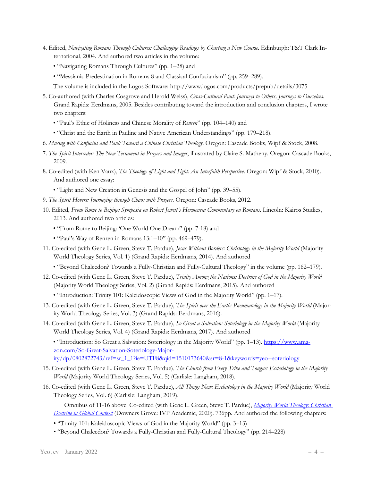- 4. Edited, *Navigating Romans Through Cultures: Challenging Readings by Charting a New Course*. Edinburgh: T&T Clark International, 2004. And authored two articles in the volume:
	- "Navigating Romans Through Cultures" (pp. 1–28) and
	- "Messianic Predestination in Romans 8 and Classical Confucianism" (pp. 259–289).
	- The volume is included in the Logos Software: http://www.logos.com/products/prepub/details/3075
- 5. Co-authored (with Charles Cosgrove and Herold Weiss), *Cross-Cultural Paul: Journeys to Others, Journeys to Ourselves*. Grand Rapids: Eerdmans, 2005. Besides contributing toward the introduction and conclusion chapters, I wrote two chapters:
	- "Paul's Ethic of Holiness and Chinese Morality of *Renren*" (pp. 104–140) and
	- "Christ and the Earth in Pauline and Native American Understandings" (pp. 179–218).
- 6. *Musing with Confucius and Paul: Toward a Chinese Christian Theology*. Oregon: Cascade Books, Wipf & Stock, 2008.
- 7. *The Spirit Intercedes: The New Testament in Prayers and Images*, illustrated by Claire S. Matheny. Oregon: Cascade Books, 2009.
- 8. Co-edited (with Ken Vaux), *The Theology of Light and Sight: An Interfaith Perspective*. Oregon: Wipf & Stock, 2010). And authored one essay:
	- "Light and New Creation in Genesis and the Gospel of John" (pp. 39–55).
- 9. *The Spirit Hovers: Journeying through Chaos with Prayers*. Oregon: Cascade Books, 2012.
- 10. Edited, *From Rome to Beijing: Symposia on Robert Jewett's Hermeneia Commentary on Romans*. Lincoln: Kairos Studies, 2013. And authored two articles:
	- "From Rome to Beijing: 'One World One Dream" (pp. 7-18) and
	- "Paul's Way of Renren in Romans 13:1–10" (pp. 469–479).
- 11. Co-edited (with Gene L. Green, Steve T. Pardue), *Jesus Without Borders: Christology in the Majority World* (Majority World Theology Series, Vol. 1) (Grand Rapids: Eerdmans, 2014). And authored
	- "Beyond Chalcedon? Towards a Fully-Christian and Fully-Cultural Theology" in the volume (pp. 162–179).
- 12. Co-edited (with Gene L. Green, Steve T. Pardue), *Trinity Among the Nations: Doctrine of God in the Majority World*  (Majority World Theology Series, Vol. 2) (Grand Rapids: Eerdmans, 2015). And authored
	- "Introduction: Trinity 101: Kaleidoscopic Views of God in the Majority World" (pp. 1–17).
- 13. Co-edited (with Gene L. Green, Steve T. Pardue), *The Spirit over the Earth: Pneumatology in the Majority World* (Majority World Theology Series, Vol. 3) (Grand Rapids: Eerdmans, 2016).
- 14. Co-edited (with Gene L. Green, Steve T. Pardue), *So Great a Salvation: Soteriology in the Majority World* (Majority World Theology Series, Vol. 4) (Grand Rapids: Eerdmans, 2017). And authored

• "Introduction: So Great a Salvation: Soteriology in the Majority World" (pp. 1–13). https://www.amazon.com/So-Great-Salvation-Soteriology-Majority/dp/0802872743/ref=sr\_1\_1?ie=UTF8&qid=1510173640&sr=8-1&keywords=yeo+soteriology

- 15. Co-edited (with Gene L. Green, Steve T. Pardue), *The Church from Every Tribe and Tongue: Ecclesiology in the Majority World* (Majority World Theology Series, Vol. 5) (Carlisle: Langham, 2018).
- 16. Co-edited (with Gene L. Green, Steve T. Pardue), *All Things New: Eschatology in the Majority World* (Majority World Theology Series, Vol. 6) (Carlisle: Langham, 2019).

Omnibus of 11-16 above: Co-edited (with Gene L. Green, Steve T. Pardue), *Majority World Theology: Christian Doctrine in Global Context* (Downers Grove: IVP Academic, 2020). 736pp. And authored the following chapters:

- "Trinity 101: Kaleidoscopic Views of God in the Majority World" (pp. 3–13)
- "Beyond Chalcedon? Towards a Fully-Christian and Fully-Cultural Theology" (pp. 214–228)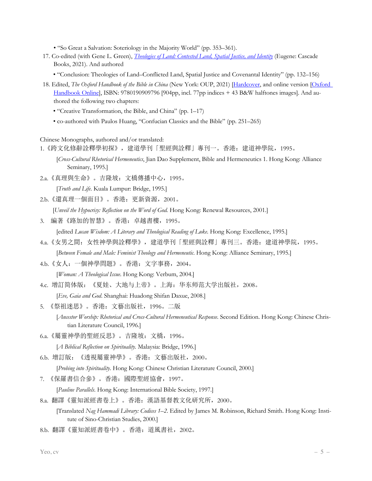• "So Great a Salvation: Soteriology in the Majority World" (pp. 353–361).

- 17. Co-edited (with Gene L. Green), *Theologies of Land: Contested Land, Spatial Justice, and Identity* (Eugene: Cascade Books, 2021). And authored
	- "Conclusion: Theologies of Land–Conflicted Land, Spatial Justice and Covenantal Identity" (pp. 132–156)
- 18. Edited, *The Oxford Handbook of the Bible in China* (New York: OUP, 2021) [Hardcover, and online version [Oxford Handbook Online], ISBN: 9780190909796 [904pp, incl. 77pp indices + 43 B&W halftones images]. And authored the following two chapters:
	- "Creative Transformation, the Bible, and China" (pp. 1–17)
	- co-authored with Paulos Huang, "Confucian Classics and the Bible" (pp. 251–265)

Chinese Monographs, authored and/or translated:

1. 《跨文化修辭詮釋學初探》,建道學刊「聖經與詮釋」專刊一。香港: 建道神學院,1995。

- [*Cross-Cultural Rhetorical Hermeneutics*, Jian Dao Supplement, Bible and Hermeneutics 1. Hong Kong: Alliance Seminary, 1995.]
- 2.a.《真理與生命》。吉隆坡:文橋傳播中心,1995。

[*Truth and Life*. Kuala Lumpur: Bridge, 1995.]

2.b.《還真理一個面目》。香港: 更新資源, 2001。

[*Unveil the Hypocrisy: Reflection on the Word of God. Hong Kong: Renewal Resources, 2001.*]

3. 編著《路加的智慧》。香港:卓越書樓,1995。

[edited *Lucan Wisdom: A Literary and Theological Reading of Luke*. Hong Kong: Excellence, 1995.]

- 4.a.《女男之間:女性神學與詮釋學》,建道學刊「聖經與詮釋」專刊三。香港:建道神學院,1995。 [*Between Female and Male: Feminist Theology and Hermeneutic*. Hong Kong: Alliance Seminary, 1995.]
- 4.b.《女人:一個神學問題》。香港:文字事務,2004。

[*Woman: A Theological Issue*. Hong Kong: Verbum, 2004.]

4.c. 增訂简体版:《夏娃、大地与上帝》。上海:华东师范大学出版社,2008。

[*Eve, Gaia and God*. Shanghai: Huadong Shifan Daxue, 2008.]

- 5. 《祭祖迷思》。香港:文藝出版社,1996。二版 [*Ancestor Worship: Rhetorical and Cross-Cultural Hermeneutical Response*. Second Edition. Hong Kong: Chinese Christian Literature Council, 1996.]
- 6.a.《屬靈神學的聖經反思》。吉隆坡:文橋,1996。

[*A Biblical Reflection on Spirituality.* Malaysia: Bridge, 1996.]

6.b. 增訂版:《透視屬靈神學》。香港:文藝出版社,2000。

[*Probing into Spirituality*. Hong Kong: Chinese Christian Literature Council, 2000.]

7. 《保羅書信合參》。香港:國際聖經協會,1997。

[*Pauline Parallels*. Hong Kong: International Bible Society, 1997.]

8.a. 翻譯《靈知派經書卷上》。香港:漢語基督教文化研究所,2000。

[Translated *Nag Hammadi Library: Codices 1–2*. Edited by James M. Robinson, Richard Smith. Hong Kong: Institute of Sino-Christian Studies, 2000.]

8.b. 翻譯《靈知派經書卷中》。香港:道風書社,2002。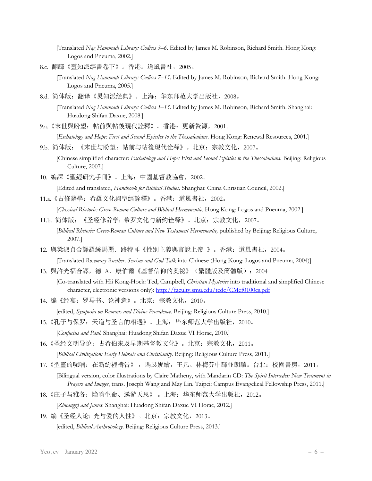[Translated *Nag Hammadi Library: Codices 3–6*. Edited by James M. Robinson, Richard Smith. Hong Kong: Logos and Pneuma, 2002.]

8.c. 翻譯《靈知派經書卷下》。香港:道風書社,2005。

[Translated *Nag Hammadi Library: Codices 7–13*. Edited by James M. Robinson, Richard Smith. Hong Kong: Logos and Pneuma, 2005.]

8.d. 简体版:翻译《灵知派经典》。上海:华东师范大学出版社,2008。

[Translated *Nag Hammadi Library: Codices 1–13*. Edited by James M. Robinson, Richard Smith. Shanghai: Huadong Shifan Daxue, 2008.]

- 9.a.《末世與盼望: 帖前與帖後現代詮釋》。香港: 更新資源, 2001。 [*Eschatology and Hope: First and Second Epistles to the Thessalonians*. Hong Kong: Renewal Resources, 2001.]
- 9.b. 简体版:《末世与盼望:帖前与帖後現代诠释》。北京:宗教文化,2007。 [Chinese simplified character: *Eschatology and Hope: First and Second Epistles to the Thessalonians*. Beijing: Religious
	- Culture, 2007.]
- 10. 編譯《聖經研究手冊》。上海:中國基督教協會,2002。

[Edited and translated, *Handbook for Biblical Studies*. Shanghai: China Christian Council, 2002.]

- 11.a.《古修辭學: 希羅文化與聖經詮釋》。香港: 道風書社, 2002。 [*Classical Rhetoric: Greco-Roman Culture and Biblical Hermeneutic*. Hong Kong: Logos and Pneuma, 2002.]
- 11.b. 简体版: 《圣经修辞学: 希罗文化与新约诠释》。北京: 宗教文化, 2007。 [*Biblical Rhetoric: Greco-Roman Culture and New Testament Hermeneutic*, published by Beijing: Religious Culture, 2007.]
- 12. 與梁淑貞合譯羅絲馬麗. 路特耳《性別主義與言說上帝 》。香港: 道風書社,2004。 [Translated *Rosemary Ruether, Sexism and God-Talk* into Chinese (Hong Kong: Logos and Pneuma, 2004)]
- 13. 與許光福合譯, 德 A. 康伯爾《基督信仰的奧祕》(繁體版及簡體版): 2004
	- [Co-translated with Hii Kong-Hock: Ted, Campbell, *Christian Mysteries* into traditional and simplified Chinese character, electronic versions only): http://faculty.smu.edu/tedc/CMef0100cs.pdf
- 14. 编《经宴:罗马书、论神意》。北京:宗教文化,2010。 [edited, *Symposia on Romans and Divine Providence*. Beijing: Religious Culture Press, 2010.]
- 15. 《孔子与保罗: 天道与圣言的相遇》。上海: 华东师范大学出版社, 2010。 [*Confucius and Paul*. Shanghai: Huadong Shifan Daxue VI Horae, 2010.]
- 16.《圣经文明导论: 古希伯來及早期基督教文化》。北京: 宗教文化, 2011。 [*Biblical Civilization: Early Hebraic and Christianity*. Beijing: Religious Culture Press, 2011.]
- 17.《聖靈的呢喃:在新約裡禱告》 ,瑪瑟妮繪,王凡、林梅芬中譯並朗讀。台北:校園書房,2011。 [Bilingual version, color illustrations by Claire Matheny, with Mandarin CD: *The Spirit Intercedes: New Testament in Prayers and Images*, trans. Joseph Wang and May Lin. Taipei: Campus Evangelical Fellowship Press, 2011.]
- 18.《庄子与雅各:隐喻生命、遨游天恩》 。上海:华东师范大学出版社,2012。 [*Zhuangzi and James*. Shanghai: Huadong Shifan Daxue VI Horae, 2012.]
- 19. 编《圣经人论: 光与爱的人性》。北京: 宗教文化, 2013。 [edited, *Biblical Anthropology*. Beijing: Religious Culture Press, 2013.]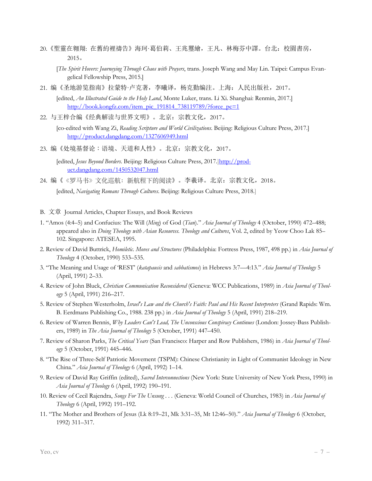- 20.《聖靈在翱翔: 在舊約裡禱告》海珂·葛伯莉、王兆璽繪,王凡、林梅芬中譯。台北:校園書房, 2015。
	- [*The Spirit Hovers: Journeying Through Chaos with Prayers*, trans. Joseph Wang and May Lin. Taipei: Campus Evangelical Fellowship Press, 2015.]
- 21. 编《圣地游览指南》拉蒙特·卢克著,李曦译,杨克勤编注。上海:人民出版社,2017。

[edited, *An Illustrated Guide to the Holy Land*, Monte Luker, trans. Li Xi. Shanghai: Renmin, 2017.] http://book.kongfz.com/item\_pic\_191814\_738119789/?force\_pc=1

22. 与王梓合编《经典解读与世界文明》。北京:宗教文化,2017。

 [co-edited with Wang Zi, *Reading Scripture and World Civilizations*. Beijing: Religious Culture Press, 2017.] http://product.dangdang.com/1327606949.html

23. 编《处境基督论:语境、天道和人性》。北京: 宗教文化,2017。

[edited, *Jesus Beyond Borders*. Beijing: Religious Culture Press, 2017.]http://product.dangdang.com/1450532047.html

- 24. 编《《罗马书》文化巡航: 新航程下的阅读》。李羲译。北京: 宗教文化, 2018。 [edited, *Navigating Romans Through Cultures*. Beijing: Religious Culture Press, 2018.]
- B. 文章 Journal Articles, Chapter Essays, and Book Reviews
- 1. "Amos (4:4–5) and Confucius: The Will (*Ming*) of God (*Tian*)." *Asia Journal of Theology* 4 (October, 1990) 472–488; appeared also in *Doing Theology with Asian Resources. Theology and Cultures*, Vol. 2, edited by Yeow Choo Lak 85– 102. Singapore: ATESEA, 1995.
- 2. Review of David Buttrick, *Homiletic. Moves and Structures* (Philadelphia: Fortress Press, 1987, 498 pp.) in *Asia Journal of Theology* 4 (October, 1990) 533–535.
- 3. "The Meaning and Usage of 'REST' (*katapausis* and *sabbatismos*) in Hebrews 3:7—4:13." *Asia Journal of Theology* 5 (April, 1991) 2–33.
- 4. Review of John Bluck, *Christian Communication Reconsidered* (Geneva: WCC Publications, 1989) in *Asia Journal of Theology* 5 (April, 1991) 216–217.
- 5. Review of Stephen Westerholm, *Israel's Law and the Church's Faith: Paul and His Recent Interpreters* (Grand Rapids: Wm. B. Eerdmans Publishing Co., 1988. 238 pp.) in *Asia Journal of Theology* 5 (April, 1991) 218–219.
- 6. Review of Warren Bennis, *Why Leaders Can't Lead, The Unconscious Conspiracy Continues* (London: Jossey-Bass Publishers, 1989) in *The Asia Journal of Theology* 5 (October, 1991) 447–450.
- 7. Review of Sharon Parks, *The Critical Years* (San Francisco: Harper and Row Publishers, 1986) in *Asia Journal of Theology* 5 (October, 1991) 445–446.
- 8. "The Rise of Three-Self Patriotic Movement (TSPM): Chinese Christianity in Light of Communist Ideology in New China." *Asia Journal of Theology* 6 (April, 1992) 1–14.
- 9. Review of David Ray Griffin (edited), *Sacred Interconnections* (New York: State University of New York Press, 1990) in *Asia Journal of Theology* 6 (April, 1992) 190–191.
- 10. Review of Cecil Rajendra, *Songs For The Unsung . . .* (Geneva: World Council of Churches, 1983) in *Asia Journal of Theology* 6 (April, 1992) 191–192.
- 11. "The Mother and Brothers of Jesus (Lk 8:19–21, Mk 3:31–35, Mt 12:46–50)." *Asia Journal of Theology* 6 (October, 1992) 311–317.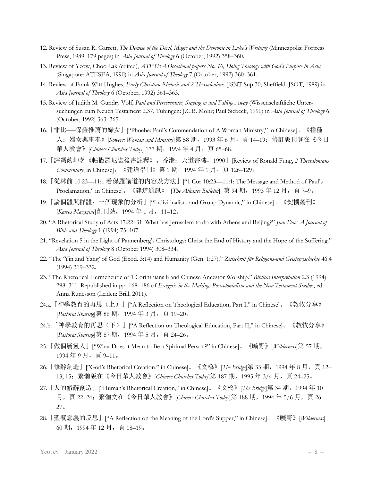- 12. Review of Susan R. Garrett, *The Demise of the Devil, Magic and the Demonic in Luke's Writings* (Minneapolis: Fortress Press, 1989. 179 pages) in *Asia Journal of Theology* 6 (October, 1992) 358–360.
- 13. Review of Yeow, Choo Lak (edited), *ATESEA Occasional papers No. 10, Doing Theology with God's Purpose in Asia* (Singapore: ATESEA, 1990) in *Asia Journal of Theology* 7 (October, 1992) 360–361.
- 14. Review of Frank Witt Hughes, *Early Christian Rhetoric and 2 Thessalonians* (JSNT Sup 30; Sheffield: JSOT, 1989) in *Asia Journal of Theology* 6 (October, 1992) 361–363.
- 15. Review of Judith M. Gundry Volf, *Paul and Perseverance, Staying in and Falling Away* (Wissenschaftliche Untersuchungen zum Neuen Testament 2.37. Tübingen: J.C.B. Mohr; Paul Siebeck, 1990) in *Asia Journal of Theology* 6 (October, 1992) 363–365.
- 16.「非比──保羅推薦的婦女」["Phoebe: Paul's Commendation of A Woman Ministry," in Chinese]。《播種 人: 婦女與事奉》[*Sowers: Woman and Ministry*]第 58 期, 1993 年 6 月, 頁 14–19; 修訂版刊登在《今日 華人教會》[*Chinese Churches Today*] 177 期, 1994 年 4 月, 頁 65–68。
- 17.「評馮蔭坤著《帖撒羅尼迦後書註釋》。香港:天道書樓,1990」[Review of Ronald Fung, *2 Thessalonians Commentary*, in Chinese], 《建道學刊》第 1 期, 1994 年 1 月, 頁 126–129。
- 18.「從林前 10:23—11:1 看保羅講道的內容及方法」["1 Cor 10:23—11:1: The Message and Method of Paul's Proclamation," in Chinese]。《建道通訊》 [*The Alliance Bulletin*] 第 94 期, 1993 年 12 月, 頁 7-9。
- 19.「論個體與群體:一個現象的分析」["Individualism and Group Dynamic," in Chinese]。《契機叢刊》 [Kairos Magazine]創刊號, 1994年1月, 11-12。
- 20. "A Rhetorical Study of Acts 17:22–31: What has Jerusalem to do with Athens and Beijing?" *Jian Dao: A Journal of Bible and Theology* 1 (1994) 75–107.
- 21. "Revelation 5 in the Light of Pannenberg's Christology: Christ the End of History and the Hope of the Suffering." *Asia Journal of Theology* 8 (October 1994) 308–334.
- 22. "The 'Yin and Yang' of God (Exod. 3:14) and Humanity (Gen. 1:27)." *Zeitschrift für Religions-und Geistesgeschichte* 46.4 (1994) 319–332.
- 23. "The Rhetorical Hermeneutic of 1 Corinthians 8 and Chinese Ancestor Worship." *Biblical Interpretation* 2.3 (1994) 298–311. Republished in pp. 168–186 of *Exegesis in the Making: Postcolonialism and the New Testament Studies*, ed. Anna Runesson (Leiden: Brill, 2011).
- 24.a.「神學教育的再思(上)」["A Reflection on Theological Education, Part I," in Chinese]。《教牧分享》 [*Pastoral Sharing*]第 86 期,1994 年 3 月,頁 19–20。
- 24.b. 「神學教育的再思(下)」["A Reflection on Theological Education, Part II," in Chinese]。《教牧分享》 [*Pastoral Sharing*]第 87 期,1994 年 5 月,頁 24–26。
- 25.「做個屬靈人」["What Does it Mean to Be a Spiritual Person?" in Chinese]。《曠野》[*Wilderness*]第 57 期, 1994 年 9 月,頁 9–11。
- 26. 「修辭創造」["God's Rhetorical Creation," in Chinese]。《文橋》[The Bridge]第 33 期, 1994 年 8 月, 頁 12– 13, 15;繁體版在《今日華人教會》[*Chinese Churches Today*]第 187 期,1995 年 3/4 月,頁 24–25。
- 27.「人的修辭創造」["Human's Rhetorical Creation," in Chinese]。《文橋》[*The Bridge*]第 34 期,1994 年 10 月, 頁 22-24; 繁體文在《今日華人教會》[*Chinese Churches Today*]第 188 期, 1994 年 5/6 月, 頁 26-27。
- 28.「聖餐意義的反思」["A Reflection on the Meaning of the Lord's Supper," in Chinese]。《曠野》[*Wilderness*] 60 期,1994 年 12 月,頁 18–19。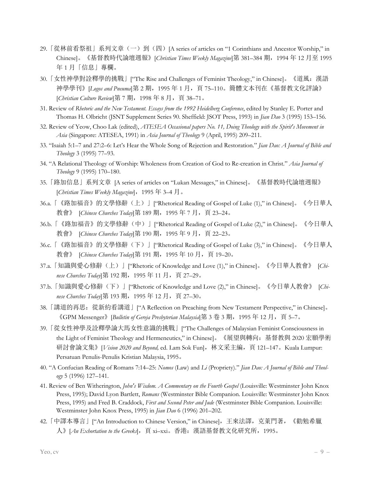- 29. 「從林前看祭祖」系列文章 (一) 到 (四) [A series of articles on "1 Corinthians and Ancestor Worship," in Chinese]。《基督教時代論壇週報》[*Christian Times Weekly Magazine*]第 381–384 期,1994 年 12 月至 1995 年 1 月「信息」專欄。
- 30.「女性神學對詮釋學的挑戰」["The Rise and Challenges of Feminist Theology," in Chinese]。《道風:漢語 神學學刊》[*Logos and Pneuma*]第 2 期,1995 年 1 月,頁 75–110。簡體文本刊在《基督教文化評論》 [*Christian Culture Review*]第 7 期,1998 年 8 月,頁 38–71。
- 31. Review of *Rhetoric and the New Testament. Essays from the 1992 Heidelberg Conference*, edited by Stanley E. Porter and Thomas H. Olbricht (JSNT Supplement Series 90. Sheffield: JSOT Press, 1993) in *Jian Dao* 3 (1995) 153–156.
- 32. Review of Yeow, Choo Lak (edited), *ATESEA Occasional papers No. 11, Doing Theology with the Spirit's Movement in Asia* (Singapore: ATESEA, 1991) in *Asia Journal of Theology* 9 (April, 1995) 209–211.
- 33. "Isaiah 5:1–7 and 27:2–6: Let's Hear the Whole Song of Rejection and Restoration." *Jian Dao: A Journal of Bible and Theology* 3 (1995) 77–93.
- 34. "A Relational Theology of Worship: Wholeness from Creation of God to Re-creation in Christ." *Asia Journal of Theology* 9 (1995) 170–180.
- 35.「路加信息」系列文章 [A series of articles on "Lukan Messages," in Chinese]。《基督教時代論壇週報》 [*Christian Times Weekly Magazine*],1995 年 3–4 月。
- 36.a.「《路加福音》的文學修辭(上)」["Rhetorical Reading of Gospel of Luke (1)," in Chinese]。《今日華人 教會》 [*Chinese Churches Today*]第 189 期,1995 年 7 月,頁 23–24。
- 36.b.「《路加福音》的文學修辭(中)」["Rhetorical Reading of Gospel of Luke (2)," in Chinese]。《今日華人 教會》 [Chinese Churches Today]第 190 期, 1995 年 9 月, 頁 22–23。
- 36.c.「《路加福音》的文學修辭(下)」["Rhetorical Reading of Gospel of Luke (3)," in Chinese]。《今日華人 教會》 [*Chinese Churches Today*]第 191 期, 1995 年 10 月, 頁 19–20。
- 37.a.「知識與愛心修辭(上)」["Rhetoric of Knowledge and Love (1)," in Chinese]。《今日華人教會》 [*Chinese Churches Today*]第 192 期,1995 年 11 月,頁 27–29。
- 37.b.「知識與愛心修辭(下)」["Rhetoric of Knowledge and Love (2)," in Chinese]。《今日華人教會》 [*Chinese Churches Today*]第 193 期,1995 年 12 月,頁 27–30。
- 38. 「講道的再思: 從新約看講道」["A Reflection on Preaching from New Testament Perspective," in Chinese]。 《GPM Messenger》[*Bulletin of Gereja Presbyterian Malaysia*]第 3 卷 3 期,1995 年 12 月,頁 5–7。
- 39.「從女性神學及詮釋學論大馬女性意識的挑戰」["The Challenges of Malaysian Feminist Consciousness in the Light of Feminist Theology and Hermeneutics," in Chinese]。《展望與轉向:基督教與 2020 宏願學術 研討會論文集》[*Vision 2020 and Beyond,* ed. Lam Sok Fun],林文采主編,頁 121–147。Kuala Lumpur: Persatuan Penulis-Penulis Kristian Malaysia, 1995。
- 40. "A Confucian Reading of Romans 7:14–25: *Nomos* (Law) and *Li* (Propriety)." *Jian Dao: A Journal of Bible and Theology* 5 (1996) 127–141.
- 41. Review of Ben Witherington, *John's Wisdom. A Commentary on the Fourth Gospel* (Louisville: Westminster John Knox Press, 1995); David Lyon Bartlett, *Romans* (Westminster Bible Companion. Louisville: Westminster John Knox Press, 1995) and Fred B. Craddock, *First and Second Peter and Jude* (Westminster Bible Companion. Louisville: Westminster John Knox Press, 1995) in *Jian Dao* 6 (1996) 201–202.
- 42.「中譯本導言」["An Introduction to Chinese Version," in Chinese],王來法譯,克萊門著,《勸勉希臘 人》[*An Exhortation to the Greeks*],頁 xi–xxi。香港:漢語基督教文化研究所,1995。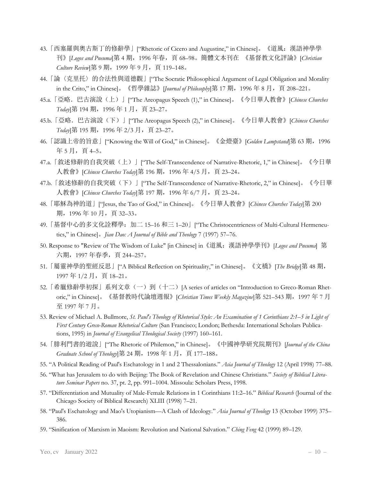- 43.「西塞羅與奧古斯丁的修辭學」["Rhetoric of Cicero and Augustine," in Chinese]。《道風:漢語神學學 刊》[*Logos and Pneuma*]第 4 期,1996 年春,頁 68–98。簡體文本刊在 《基督教文化評論》[*Christian Culture Review*]第 9 期,1999 年 9 月,頁 119–148。
- 44.「論〈克里托〉的合法性與道德觀」["The Socratic Philosophical Argument of Legal Obligation and Morality in the Crito," in Chinese]。《哲學雜誌》[*Journal of Philosophy*]第 17 期, 1996 年 8 月, 頁 208–221。
- 45.a.「亞略.巴古演說(上)」["The Areopagus Speech (1)," in Chinese]。《今日華人教會》[*Chinese Churches Today*]第 194 期,1996 年 1 月,頁 23–27。
- 45.b.「亞略.巴古演說(下)」["The Areopagus Speech (2)," in Chinese]。《今日華人教會》[*Chinese Churches Today*]第 195 期,1996 年 2/3 月,頁 23–27。
- 46.「認識上帝的旨意」["Knowing the Will of God," in Chinese]。《金燈臺》[*Golden Lampstand*]第 63 期,1996 年 5 月, 頁 4–5。
- 47.a. 「敘述修辭的自我突破(上)」["The Self-Transcendence of Narrative-Rhetoric, 1," in Chinese]。《今日華 人教會》[*Chinese Churches Today*]第 196 期,1996 年 4/5 月,頁 23–24。
- 47.b. 「敘述修辭的自我突破(下)」["The Self-Transcendence of Narrative-Rhetoric, 2," in Chinese]。《今日華 人教會》[*Chinese Churches Today*]第 197 期,1996 年 6/7 月,頁 23–24。
- 48.「耶穌為神的道」["Jesus, the Tao of God," in Chinese]。《今日華人教會》[*Chinese Churches Today*]第 200 期,1996 年 10 月,頁 32–33。
- 49.「基督中心的多文化詮釋學:加二 15–16 和三 1–20」["The Christocentricness of Multi-Cultural Hermeneutics," in Chinese]。*Jian Dao: A Journal of Bible and Theology* 7 (1997) 57–76.
- 50. Response to "Review of The Wisdom of Luke" [in Chinese] in《道風:漢語神學學刊》[*Logos and Pneuma*] 第 六期,1997 年春季,頁 244–257。
- 51.「屬靈神學的聖經反思」["A Biblical Reflection on Spirituality," in Chinese]。《文橋》[*The Bridge*]第 48 期, 1997年1/2月,頁18-21。
- 52. 「希臘修辭學初探」系列文章(一)到(十二) [A series of articles on "Introduction to Greco-Roman Rhetoric," in Chinese]。《基督教時代論壇週報》[*Christian Times Weekly Magazine*]第 521–543 期,1997 年 7 月 至 1997 年 7 月。
- 53. Review of Michael A. Bullmore, *St. Paul's Theology of Rhetorical Style: An Examination of 1 Corinthians 2:1–5 in Light of First Century Greco-Roman Rhetorical Culture* (San Francisco; London; Bethesda: International Scholars Publications, 1995) in *Journal of Evangelical Theological Society* (1997) 160–161.
- 54.「腓利門書的遊說」["The Rhetoric of Philemon," in Chinese]。《中國神學研究院期刊》[*Journal of the China Graduate School of Theology*]第 24 期,1998 年 1 月,頁 177–188。
- 55. "A Political Reading of Paul's Eschatology in 1 and 2 Thessalonians." *Asia Journal of Theology* 12 (April 1998) 77–88.
- 56. "What has Jerusalem to do with Beijing: The Book of Revelation and Chinese Christians." *Society of Biblical Literature Seminar Papers* no. 37, pt. 2, pp. 991–1004. Missoula: Scholars Press, 1998.
- 57. "Differentiation and Mutuality of Male-Female Relations in 1 Corinthians 11:2–16." *Biblical Research* (Journal of the Chicago Society of Biblical Research) XLIII (1998) 7–21.
- 58. "Paul's Eschatology and Mao's Utopianism––A Clash of Ideology." *Asia Journal of Theology* 13 (October 1999) 375– 386.
- 59. "Sinification of Marxism in Maoism: Revolution and National Salvation." *Ching Feng* 42 (1999) 89–129.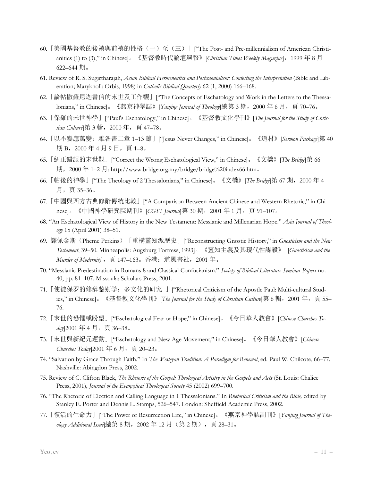- 60. 「美國基督教的後禧與前禧的性格(一)至(三)」["The Post- and Pre-millennialism of American Christianities (1) to (3)," in Chinese]。《基督教時代論壇週報》[*Christian Times Weekly Magazine*],1999 年 8 月 622–644 期。
- 61. Review of R. S. Sugirtharajah, *Asian Biblical Hermeneutics and Postcolonialism: Contesting the Interpretation* (Bible and Liberation; Maryknoll: Orbis, 1998) in *Catholic Biblical Quarterly* 62 (1, 2000) 166–168.
- 62.「論帖撒羅尼迦書信的末世及工作觀」["The Concepts of Eschatology and Work in the Letters to the Thessalonians," in Chinese]。《燕京神學誌》[*Yanjing Journal of Theology*]總第 3 期, 2000 年 6 月, 頁 70–76。
- 63.「保羅的未世神學」["Paul's Eschatology," in Chinese]。《基督教文化學刊》[*The Journal for the Study of Chris*tian Culture]第 3 輯, 2000 年, 頁 47-78。
- 64.「以不孌應萬變:雅各書二章 1–13 節」["Jesus Never Changes," in Chinese]。《道材》[*Sermon Package*]第 40 期 B, 2000 年 4 月 9 日, 頁 1–8。
- 65.「糾正錯誤的末世觀」["Correct the Wrong Eschatological View," in Chinese]。《文橋》[*The Bridge*]第 66 期,2000 年 1–2 月: http://www.bridge.org.my/bridge/bridge%20index66.htm。
- 66.「帖後的神學」["The Theology of 2 Thessalonians," in Chinese]。《文橋》[*The Bridge*]第 67 期,2000 年 4 月,頁 35–36。
- 67.「中國與西方古典修辭傳統比較」["A Comparison Between Ancient Chinese and Western Rhetoric," in Chinese]。《中國神學研究院期刊》[*CGST Journal*]第 30 期,2001 年 1 月,頁 91–107。
- 68. "An Eschatological View of History in the New Testament: Messianic and Millenarian Hope." *Asia Journal of Theology* 15 (April 2001) 38–51.
- 69. 譯佩金斯(Pheme Perkins)「重構靈知派歷史」["Reconstructing Gnostic History," in *Gnosticism and the New Testament*, 39–50. Minneapolis: Augsburg Fortress, 1993]。《靈知主義及其現代性謀殺》 [*Gnosticism and the Murder of Modernity*], 頁 147–163。香港: 道風書社, 2001 年。
- 70. "Messianic Predestination in Romans 8 and Classical Confucianism." *Society of Biblical Literature Seminar Papers* no. 40, pp. 81–107. Missoula: Scholars Press, 2001.
- 71.「使徒保罗的修辞鉴别学:多文化的研究 」["Rhetorical Criticism of the Apostle Paul: Multi-cultural Studies," in Chinese]。《基督教文化學刊》[*The Journal for the Study of Christian Culture*]第 6 輯, 2001 年, 頁 55– 76.
- 72.「末世的恐懼或盼望」["Eschatological Fear or Hope," in Chinese]。《今日華人教會》[*Chinese Churches To*day]2001年4月, 頁 36-38。
- 73.「末世與新紀元運動」["Eschatology and New Age Movement," in Chinese]。《今日華人教會》[*Chinese Churches Today*]2001年6月, 頁 20–23。
- 74. "Salvation by Grace Through Faith." In *The Wesleyan Tradition: A Paradigm for Renewal*, ed. Paul W. Chilcote, 66–77. Nashville: Abingdon Press, 2002.
- 75. Review of C. Clifton Black, *The Rhetoric of the Gospel: Theological Artistry in the Gospels and Acts* (St. Louis: Chalice Press, 2001), *Journal of the Evangelical Theological Society* 45 (2002) 699–700.
- 76. "The Rhetoric of Election and Calling Language in 1 Thessalonians." In *Rhetorical Criticism and the Bible,* edited by Stanley E. Porter and Dennis L. Stamps, 526–547. London: Sheffield Academic Press, 2002.
- 77.「復活的生命力」["The Power of Resurrection Life," in Chinese]。《燕京神學誌副刊》[*Yanjing Journal of Theology Additional Issue*]總第 8 期,2002 年 12 月(第 2 期),頁 28–31。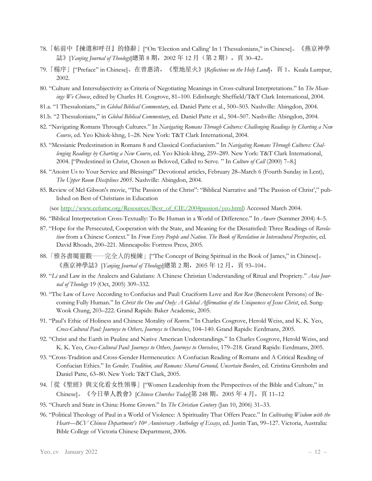- 78.「帖前中『揀選和呼召』的修辭」["On 'Election and Calling' In 1 Thessalonians," in Chinese]。《燕京神學 誌》[*Yanjing Journal of Theology*]總第 8 期, 2002 年 12 月(第 2 期),頁 30–42。
- 79.「楊序」["Preface" in Chinese]。在曾惠清,《聖地星火》[*Reflections on the Holy Land*],頁 1。Kuala Lumpur, 2002.
- 80. "Culture and Intersubjectivity as Criteria of Negotiating Meanings in Cross-cultural Interpretations." In *The Meanings We Choose*, edited by Charles H. Cosgrove, 81–100. Edinburgh: Sheffield/T&T Clark International, 2004.
- 81.a. "1 Thessalonians," in *Global Biblical Commentary*, ed. Daniel Patte et al., 500–503. Nashville: Abingdon, 2004.
- 81.b. "2 Thessalonians," in *Global Biblical Commentary*, ed. Daniel Patte et al., 504–507. Nashville: Abingdon, 2004.
- 82. "Navigating Romans Through Cultures." In *Navigating Romans Through Cultures: Challenging Readings by Charting a New Course*, ed. Yeo Khiok-khng, 1–28. New York: T&T Clark International, 2004.
- 83. "Messianic Predestination in Romans 8 and Classical Confucianism." In *Navigating Romans Through Cultures: Challenging Readings by Charting a New Course*, ed. Yeo Khiok-khng, 259–289. New York: T&T Clark International, 2004. ["Predestined in Christ, Chosen as Beloved, Called to Serve. " In *Culture of Call* (2000) 7–8.]
- 84. "Anoint Us to Your Service and Blessings!" Devotional articles, February 28–March 6 (Fourth Sunday in Lent), *The Upper Room Disciplines 2005*. Nashville: Abingdon, 2004.
- 85. Review of Mel Gibson's movie, "The Passion of the Christ": "Biblical Narrative and 'The Passion of Christ'," published on Best of Christians in Education

(see http://www.cefumc.org/Resources/Best\_of\_CIE/2004passion/yeo.html) Accessed March 2004.

- 86. "Biblical Interpretation Cross-Textually: To Be Human in a World of Difference." In *Aware* (Summer 2004) 4–5.
- 87. "Hope for the Persecuted, Cooperation with the State, and Meaning for the Dissatisfied: Three Readings of *Revelation* from a Chinese Context." In *From Every People and Nation. The Book of Revelation in Intercultural Perspective*, ed. David Rhoads, 200–221. Minneapolis: Fortress Press, 2005.
- 88. 「雅各書屬靈觀——完全人的橾練」["The Concept of Being Spiritual in the Book of James," in Chinese]。 《燕京神學誌》[*Yanjing Journal of Theology*]總第 2 期, 2005 年 12 月, 頁 93–104。
- 89. "*Li* and Law in the Analects and Galatians: A Chinese Christian Understanding of Ritual and Propriety." *Asia Journal of Theology* 19 (Oct, 2005) 309–332.
- 90. "The Law of Love According to Confucius and Paul: Cruciform Love and *Ren Ren* (Benevolent Persons) of Becoming Fully Human." In *Christ the One and Only: A Global Affirmation of the Uniqueness of Jesus Christ*, ed. Sung-Wook Chung, 203–222. Grand Rapids: Baker Academic, 2005.
- 91. "Paul's Ethic of Holiness and Chinese Morality of *Renren.*" In Charles Cosgrove, Herold Weiss, and K. K. Yeo, *Cross-Cultural Paul: Journeys to Others, Journeys to Ourselves*, 104–140. Grand Rapids: Eerdmans, 2005.
- 92. "Christ and the Earth in Pauline and Native American Understandings." In Charles Cosgrove, Herold Weiss, and K. K. Yeo, *Cross-Cultural Paul: Journeys to Others, Journeys to Ourselves*, 179–218. Grand Rapids: Eerdmans, 2005.
- 93. "Cross-Tradition and Cross-Gender Hermeneutics: A Confucian Reading of Romans and A Critical Reading of Confucian Ethics." In *Gender, Tradition, and Romans: Shared Ground, Uncertain Borders*, ed. Cristina Grenholm and Daniel Patte, 63–80. New York: T&T Clark, 2005.
- 94.「從《聖經》與文化看女性領導」["Women Leadership from the Perspectives of the Bible and Culture," in Chinese]。《今日華人教會》[*Chinese Churches Today*]第 248 期, 2005 年 4 月, 頁 11–12
- 95. "Church and State in China: Home Grown." In *The Christian Century* (Jan 10, 2006) 31–33.
- 96. "Political Theology of Paul in a World of Violence: A Spirituality That Offers Peace." In *Cultivating Wisdom with the Heart––BCV Chinese Department's 10th Anniversary Anthology of Essays*, ed. Justin Tan, 99–127. Victoria, Australia: Bible College of Victoria Chinese Department, 2006.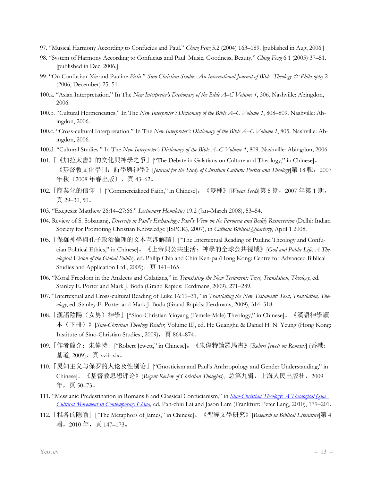- 97. "Musical Harmony According to Confucius and Paul." *Ching Feng* 5.2 (2004) 163–189. [published in Aug, 2006.]
- 98. "System of Harmony According to Confucius and Paul: Music, Goodness, Beauty." *Ching Feng* 6.1 (2005) 37–51. [published in Dec, 2006.]
- 99. "On Confucian *Xin* and Pauline *Pistis*." *Sino-Christian Studies: An International Journal of Bible, Theology & Philosophy* 2 (2006, December) 25–51.
- 100.a. "Asian Interpretation." In The *New Interpreter's Dictionary of the Bible A–C Volume 1*, 306. Nashville: Abingdon, 2006.
- 100.b. "Cultural Hermeneutics." In The *New Interpreter's Dictionary of the Bible A–C Volume 1*, 808–809. Nashville: Abingdon, 2006.
- 100.c. "Cross-cultural Interpretation." In The *New Interpreter's Dictionary of the Bible A–C Volume 1*, 805. Nashville: Abingdon, 2006.
- 100.d. "Cultural Studies." In The *New Interpreter's Dictionary of the Bible A–C Volume 1*, 809. Nashville: Abingdon, 2006.
- 101.「《加拉太書》的文化與神學之爭」["The Debate in Galatians on Culture and Theology," in Chinese]。 《基督教文化學刊:詩學與神學》[*Journal for the Study of Christian Culture: Poetics and Theology*]第 18 輯,2007 年秋〔2008 年春出版〕,頁 43–62。
- 102. 「商業化的信仰 」 ["Commercialized Faith," in Chinese]。《麥種》 [*Wheat Seeds*]第 5 期, 2007 年第 1 期, 頁 29–30, 50。
- 103. "Exegesis: Matthew 26:14–27:66." *Lectionary Homiletics* 19.2 (Jan–March 2008), 53–54.
- 104. Review of S. Sobanaraj, *Diversity in Paul's Eschatology: Paul's View on the Parousia and Bodily Resurrection* (Delhi: Indian Society for Promoting Christian Knowledge (ISPCK), 2007), in *Catholic Biblical Quarterly*, April 1 2008.
- 105.「保羅神學與孔子政治倫理的文本互涉解讀」["The Intertextual Reading of Pauline Theology and Confucian Political Ethics," in Chinese]。《上帝與公共生活:神學的全球公共視域》[*God and Public Life: A Theological Vision of the Global Public*], ed. Philip Chia and Chin Ken-pa (Hong Kong: Centre for Advanced Biblical Studies and Application Ltd., 2009), 頁 141-165。
- 106. "Moral Freedom in the Analects and Galatians," in *Translating the New Testament: Text, Translation, Theology*, ed. Stanley E. Porter and Mark J. Boda (Grand Rapids: Eerdmans, 2009), 271–289.
- 107. "Intertextual and Cross-cultural Reading of Luke 16:19–31," in *Translating the New Testament: Text, Translation, Theology*, ed. Stanley E. Porter and Mark J. Boda (Grand Rapids: Eerdmans, 2009), 314–318.
- 108.「漢語陰陽(女男)神學」["Sino-Christian Yinyang (Female-Male) Theology," in Chinese]。《漢語神學讀 本(下冊)》[*Sino-Christian Theology Reader,* Volume II], ed. He Guanghu & Daniel H. N. Yeung (Hong Kong: Institute of Sino-Christian Studies., 2009),頁 864–874。
- 109.「作者簡介:朱偉特」["Robert Jewett," in Chinese]。《朱偉特論羅馬書》[*Robert Jewett on Romans*] (香港: 基道, 2009),頁 xvii–xix。
- 110.「灵知主义与保罗的人论及性别论」["Gnosticism and Paul's Anthropology and Gender Understanding," in Chinese]。《基督教思想评论》(*Regent Review of Christian Thoughts*), 总第九辑,上海人民出版社,2009 年,页 50–73。
- 111. "Messianic Predestination in Romans 8 and Classical Confucianism," in *Sino-Christian Theology: A Theological Qua Cultural Movement in Contemporary China,* ed. Pan-chiu Lai and Jason Lam (Frankfurt: Peter Lang, 2010), 179–201.
- 112.「雅各的隱喻」["The Metaphors of James," in Chinese]。《聖經文學研究》[*Research in Biblical Literature*]第 4 輯,2010 年,頁 147–173。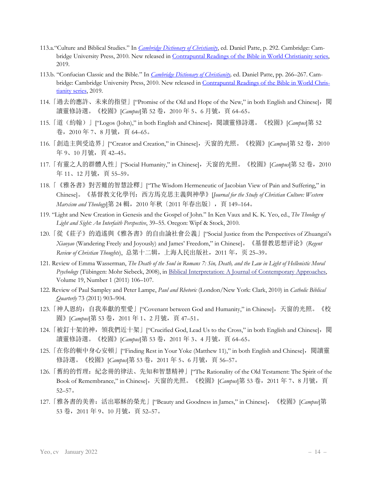- 113.a."Culture and Biblical Studies." In *Cambridge Dictionary of Christianity*, ed. Daniel Patte, p. 292. Cambridge: Cambridge University Press, 2010. New released in Contrapuntal Readings of the Bible in World Christianity series, 2019.
- 113.b. "Confucian Classic and the Bible." In *Cambridge Dictionary of Christianity,* ed. Daniel Patte, pp. 266–267. Cambridge: Cambridge University Press, 2010. New released in Contrapuntal Readings of the Bible in World Christianity series, 2019.
- 114. 「過去的應許、未來的指望」[''Promise of the Old and Hope of the New," in both English and Chinese], 閲 讀靈修詩選。《校園》[*Campus*]第 52 卷,2010 年 5、6 月號,頁 64–65。
- 115.「道(約翰)」["Logos (John)," in both English and Chinese],閱讀靈修詩選。《校園》[*Campus*]第 52 卷, 2010年7、8月號, 頁 64–65。
- 116. 「創造主與受造界」["Creator and Creation," in Chinese], 天窗的光照。《校園》[Campus]第 52 卷, 2010 年 9、10 月號, 頁 42–45。
- 117. 「有靈之人的群體人性」["Social Humanity," in Chinese], 天窗的光照。《校園》[*Campus*]第 52 卷, 2010 年11、12月號,頁55-59。
- 118.「《雅各書》對苦難的智慧詮釋」["The Wisdom Hermeneutic of Jacobian View of Pain and Suffering," in Chinese]。《基督教文化學刊:西方馬克思主義與神學》[*Journal for the Study of Christian Culture: Western Marxism and Theology*]第 24 輯,2010 年秋〔2011 年春出版〕,頁 149–164。
- 119. "Light and New Creation in Genesis and the Gospel of John." In Ken Vaux and K. K. Yeo, ed., *The Theology of Light and Sight: An Interfaith Perspective*, 39–55. Oregon: Wipf & Stock, 2010.
- 120.「從《莊子》的逍遙與《雅各書》的自由論社會公義」["Social Justice from the Perspectives of Zhuangzi's *Xiaoyao* (Wandering Freely and Joyously) and James' Freedom," in Chinese]。《基督教思想评论》(*Regent Review of Christian Thoughts*), 总第十二辑,上海人民出版社,2011 年,页 25–39。
- 121. Review of Emma Wasserman, *The Death of the Soul in Romans 7: Sin, Death, and the Law in Light of Hellenistic Moral Psychology* (Tübingen: Mohr Siebeck, 2008), in Biblical Interpretation: A Journal of Contemporary Approaches, Volume 19, Number 1 (2011) 106–107.
- 122. Review of Paul Sampley and Peter Lampe, *Paul and Rhetoric* (London/New York: Clark, 2010) in *Catholic Biblical Quarterly* 73 (2011) 903–904.
- 123. 「神人恩約: 自我奉獻的聖愛」["Covenant between God and Humanity," in Chinese], 天窗的光照。《校 園》[*Campus*]第 53 卷,2011 年 1、2 月號,頁 47–51。
- 124. 「被釘十架的神,領我們近十架」["Crucified God, Lead Us to the Cross," in both English and Chinese],閲 讀靈修詩選。《校園》[*Campus*]第 53 卷,2011 年 3、4 月號,頁 64–65。
- 125. 「在你的軛中身心安頓」["Finding Rest in Your Yoke (Matthew 11)," in both English and Chinese],閱讀靈 修詩選。《校園》[*Campus*]第 53 卷,2011 年 5、6 月號,頁 56–57。
- 126. 「舊約的哲理: 紀念冊的律法、先知和智慧精神」["The Rationality of the Old Testament: The Spirit of the Book of Remembrance," in Chinese], 天窗的光照。《校園》[Campus]第 53 卷, 2011 年 7、8 月號, 頁 52–57。
- 127.「雅各書的美善:活出耶穌的榮光」["Beauty and Goodness in James," in Chinese],《校園》[*Campus*]第 53 卷,2011 年 9、10 月號,頁 52–57。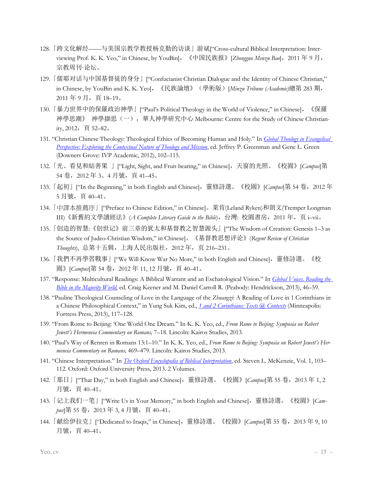- 128.「跨文化解经——与美国宗教学教授杨克勤的访谈」游斌["Cross-cultural Biblical Interpretation: Interviewing Prof. K. K. Yeo," in Chinese, by YouBin],《中国民族报》[*Zhongguo Menzu Bao*],2011 年 9 月, 宗教周刊·论坛。
- 129.「儒耶对话与中国基督徒的身分」["Confucianist Christian Dialogue and the Identity of Chinese Christian," in Chinese, by YouBin and K. K. Yeo],《民族論壇》(學術版)[*Minzu Tribune (Academic)*總第 283 期, 2011 年 9 月,頁 18–19。
- 130.「暴力世界中的保羅政治神學」["Paul's Political Theology in the World of Violence," in Chinese],《保羅 神學思潮》 神學擷思(一),華人神學研究中心 Melbourne: Centre for the Study of Chinese Christianity,  $2012$ , 頁 52-82。
- 131. "Christian Chinese Theology: Theological Ethics of Becoming Human and Holy." In *Global Theology in Evangelical Perspective: Exploring the Contextual Nature of Theology and Mission*, ed. Jeffrey P. Greenman and Gene L. Green (Downers Grove: IVP Academic, 2012), 102–115.
- 132.「光、看見和結善果 」["Light, Sight, and Fruit-bearing," in Chinese],天窗的光照。《校園》[*Campus*]第 54 卷,2012 年 3、4 月號,頁 41–45。
- 133. 「起初」["In the Beginning," in both English and Chinese], 靈修詩選。《校園》[*Campus*]第 54 卷, 2012 年 5 月號,頁 40–41。
- 134.「中譯本推薦序」["Preface to Chinese Edition," in Chinese]。萊肯(Leland Ryken)和朗文(Tremper Longman III)《新舊約文學讀經法》(*A Complete Literary Guide to the Bible*),台灣: 校園書房,2011 年,页 i–vii。
- 135.「创造的智慧:《创世记》前三章的犹太和基督教之智慧源头」["The Wisdom of Creation: Genesis 1–3 as the Source of Judeo-Christian Wisdom," in Chinese]。《基督教思想评论》(*Regent Review of Christian Thoughts*), 总第十五辑,上海人民出版社,2012 年,页 216–231。
- 136. 「我們不再學習戰事」["We Will Know War No More," in both English and Chinese], 靈修詩選。《校 園》[*Campus*]第 54 卷,2012 年 11, 12 月號,頁 40–41。
- 137. "Response: Multicultural Readings: A Biblical Warrant and an Eschatological Vision." In *Global Voices. Reading the Bible in the Majority World*, ed. Craig Keener and M. Daniel Carroll R. (Peabody: Hendrickson, 2013), 46–59.
- 138. "Pauline Theological Counseling of Love in the Language of the *Zhuangzi*: A Reading of Love in 1 Corinthians in a Chinese Philosophical Context," in Yung Suk Kim, ed., *1 and 2 Corinthians: Texts @ Contexts* (Minneapolis: Fortress Press, 2013), 117–128.
- 139. "From Rome to Beijing: 'One World One Dream." In K. K. Yeo, ed., *From Rome to Beijing: Symposia on Robert Jewett's Hermeneia Commentary on Romans,* 7–18. Lincoln: Kairos Studies, 2013.
- 140. "Paul's Way of Renren in Romans 13:1–10." In K. K. Yeo, ed., *From Rome to Beijing: Symposia on Robert Jewett's Hermeneia Commentary on Romans,* 469–479. Lincoln: Kairos Studies, 2013.
- 141. "Chinese Interpretation." In *The Oxford Encyclopedia of Biblical Interpretation*, ed. Steven L. McKenzie, Vol. 1, 103– 112. Oxford: Oxford University Press, 2013. 2 Volumes.
- 142.「那日」["That Day," in both English and Chinese],靈修詩選。《校園》[*Campus*]第 55 卷,2013 年 1, 2 月號,頁 40–41。
- 143. 「记上我们一笔」["Write Us in Your Memory," in both English and Chinese], 靈修詩選。《校園》[Campus]第 55 卷, 2013 年 3, 4 月號, 頁 40–41。
- 144.「献给伊拉克」["Dedicated to Iraqis," in Chinese],靈修詩選。《校園》[*Campus*]第 55 卷,2013 年 9, 10 月號,頁 40–41。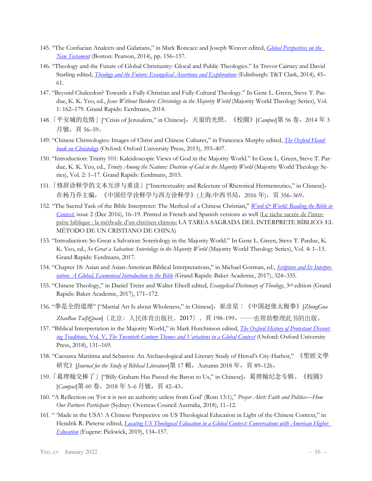- 145. "The Confucian Analects and Galatians," in Mark Roncace and Joseph Weaver edited, *Global Perspectives on the New Testament* (Boston: Pearson, 2014), pp. 156–157.
- 146. "Theology and the Future of Global Christianity: Glocal and Public Theologies." In Trevor Cairney and David Starling edited, *Theology and the Future: Evangelical Assertions and Explorations* (Edinburgh: T&T Clark, 2014), 45– 61.
- 147. "Beyond Chalcedon? Towards a Fully-Christian and Fully-Cultural Theology." In Gene L. Green, Steve T. Pardue, K. K. Yeo, ed., *Jesus Without Borders: Christology in the Majority World* (Majority World Theology Series), Vol. 1: 162–179. Grand Rapids: Eerdmans, 2014.
- 148.「平安城的危情」["Crisis of Jerusalem," in Chinese],天窗的光照。《校園》*[Campus*]第 56 卷,2014 年 3 月號,頁 56–59。
- 149. "Chinese Christologies: Images of Christ and Chinese Cultures," in Francesca Murphy edited, *The Oxford Handbook on Christology* (Oxford: Oxford University Press, 2015), 393–407.
- 150. "Introduction: Trinity 101: Kaleidoscopic Views of God in the Majority World." In Gene L. Green, Steve T. Pardue, K. K. Yeo, ed., *Trinity Among the Nations: Doctrine of God in the Majority World* (Majority World Theology Series), Vol. 2: 1–17. Grand Rapids: Eerdmans, 2015.
- 151.「修辞诠释学的文本互涉与重读」["Intertextuality and Relecture of Rhetorical Hermeneutics," in Chinese], 在杨乃乔主编,《中国经学诠释学与西方诠释学》(上海:中西书局,2016 年),页 356–369。
- 152. "The Sacred Task of the Bible Interpreter: The Method of a Chinese Christian," *Word & World: Reading the Bible in Context*, issue 2 (Dec 2016), 16–19. Printed in French and Spanish versions as well (Le tâche sacrée de l'interprète biblique : la méthode d'un chrétien chinois; LA TAREA SAGRADA DEL INTÉRPRETE BÍBLICO: EL MÉTODO DE UN CRISTIANO DE CHINA)
- 153. "Introduction: So Great a Salvation: Soteriology in the Majority World." In Gene L. Green, Steve T. Pardue, K. K. Yeo, ed., *So Great a Salvation: Soteriology in the Majority World* (Majority World Theology Series), Vol. 4: 1–13. Grand Rapids: Eerdmans, 2017.
- 154. "Chapter 18: Asian and Asian-American Biblical Interpretations," in Michael Gorman, ed., *Scripture and Its Interpretation: A Global, Ecumenical Introduction to the Bible* (Grand Rapids: Baker Academic, 2017), 324–335.
- 155. "Chinese Theology," in Daniel Treier and Walter Elwell edited, *Evangelical Dictionary of Theology*, 3rd edition (Grand Rapids: Baker Academic, 2017), 171–172.
- 156. "拳是全的道理" ["Martial Art Is about Wholeness," in Chinese],崔彦星:《中国赵堡太极拳》[*ZhongGua ZhaoBao TaiJiQuan*](北京:⼈民体育出版社,2017),頁 198–199。——也帮助整理此书的出版。
- 157. "Biblical Interpretation in the Majority World," in Mark Hutchinson edited, *The Oxford History of Protestant Dissenting Traditions*, Vol. V, *The Twentieth Century Themes and Variations in a Global Context* (Oxford: Oxford University Press, 2018), 131–169.
- 158. "Caesarea Maritima and Sebastos: An Archaeological and Literary Study of Herod's City-Harbor," 《聖經文學 研究》[*Journal for the Study of Biblical Literature*]第 17 輯, Autumn 2018 年, 頁 89–126。
- 159.「葛理翰交棒了」["Billy Graham Has Passed the Baton to Us," in Chinese],葛理翰纪念专辑。《校園》 [*Campus*]第 60 卷,2018 年 5–6 月號,頁 42–43。
- 160. "A Reflection on 'For it is not an authority unless from God' (Rom 13:1)," *Prayer Alert: Faith and Politics—How Our Partners Participate* (Sydney: Overseas Council Australia, 2018), 11–12.
- 161. " 'Made in the USA': A Chinese Perspective on US Theological Education in Light of the Chinese Context," in Hendrik R. Pieterse edited, *Locating US Theological Education in a Global Context: Conversations with American Higher Education* (Eugene: Pickwick, 2019), 134–157.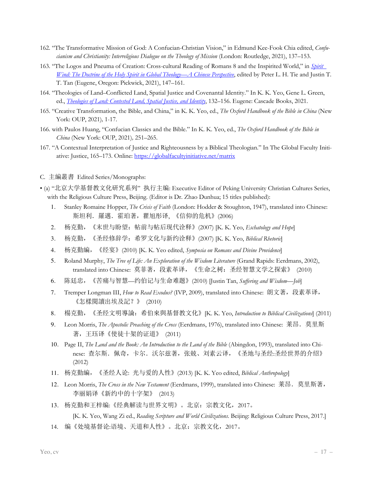- 162. "The Transformative Mission of God: A Confucian-Christian Vision," in Edmund Kee-Fook Chia edited, *Confucianism and Christianity: Interreligious Dialogue on the Theology of Mission* (London: Routledge, 2021), 137–153.
- 163. "The Logos and Pneuma of Creation: Cross-cultural Reading of Romans 8 and the Inspirited World," in *Spirit Wind: The Doctrine of the Holy Spirit in Global Theology—A Chinese Perspective*, edited by Peter L. H. Tie and Justin T. T. Tan (Eugene, Oregon: Pickwick, 2021), 147–161.
- 164. "Theologies of Land–Conflicted Land, Spatial Justice and Covenantal Identity." In K. K. Yeo, Gene L. Green, ed., *Theologies of Land: Contested Land, Spatial Justice, and Identity*, 132–156. Eugene: Cascade Books, 2021.
- 165. "Creative Transformation, the Bible, and China," in K. K. Yeo, ed., *The Oxford Handbook of the Bible in China* (New York: OUP, 2021)*,* 1-17.
- 166. with Paulos Huang, "Confucian Classics and the Bible." In K. K. Yeo, ed., *The Oxford Handbook of the Bible in China* (New York: OUP, 2021)*,* 251–265.
- 167. "A Contextual Interpretation of Justice and Righteousness by a Biblical Theologian." In The Global Faculty Initiative: Justice, 165–173. Online: https://globalfacultyinitiative.net/matrix
- C. 主編叢書 Edited Series/Monographs:
- (a) "北京大学基督教文化研究系列" 执行主编: Executive Editor of Peking University Christian Cultures Series, with the Religious Culture Press, Beijing. (Editor is Dr. Zhao Dunhua; 15 titles published):
	- 1. Stanley Romaine Hopper, *The Crisis of Faith* (London: Hodder & Stoughton, 1947), translated into Chinese: 斯坦利.羅邁.霍珀著,瞿旭彤译, 《信仰的危机》(2006)
	- 2. 杨克勤,《末世与盼望:帖前与帖后现代诠释》(2007) [K. K. Yeo, *Eschatology and Hope*]
	- 3. 杨克勤,《圣经修辞学:希罗文化与新约诠释》(2007) [K. K. Yeo, *Biblical Rhetoric*]
	- 4. 杨克勤編,《经宴》(2010) [K. K. Yeo edited, *Symposia on Romans and Divine Providence*]
	- 5. Roland Murphy, *The Tree of Life: An Exploration of the Wisdom Literature* (Grand Rapids: Eerdmans, 2002), translated into Chinese: 莫菲著,段素革译,《生命之树:圣经智慧文学之探索》 (2010)
	- 6. 陈廷忠,《苦痛与智慧—约伯记与生命难题》(2010) [Justin Tan, *Suffering and Wisdom—Job*]
	- 7. Tremper Longman III, *How to Read Exodus?* (IVP, 2009), translated into Chinese: 朗文著,段素革译, 《怎樣閱讀出埃及記?》 (2010)
	- 8. 楊克勤,《圣经文明導論:希伯來與基督教文化》[K. K. Yeo, *Introduction to Biblical Civilizations*] (2011)
	- 9. Leon Morris, *The Apostolic Preaching of the Cross* (Eerdmans, 1976), translated into Chinese: 莱昂.莫里斯 著,王珏译《使徒十架的证道》 (2011)
	- 10. Page II, *The Land and the Book: An Introduction to the Land of the Bible* (Abingdon, 1993), translated into Chinese: 查尔斯.佩奇,卡尔.沃尔兹著,张兢、刘素云译,《圣地与圣经:圣经世界的介绍》 (2012)
	- 11. 杨克勤編,《圣经人论: 光与爱的人性》(2013) [K. K. Yeo edited, *Biblical Anthropology*]
	- 12. Leon Morris, *The Cross in the New Testament* (Eerdmans, 1999), translated into Chinese: 莱昂.莫里斯著, 李丽娟译《新约中的十字架》 (2013)
	- 13. 杨克勤和王梓编:《经典解读与世界文明》。北京:宗教文化,2017。 [K. K. Yeo, Wang Zi ed., *Reading Scripture and World Civilizations*. Beijing: Religious Culture Press, 2017.]
	- 14. 编《处境基督论:语境、天道和人性》。北京:宗教文化,2017。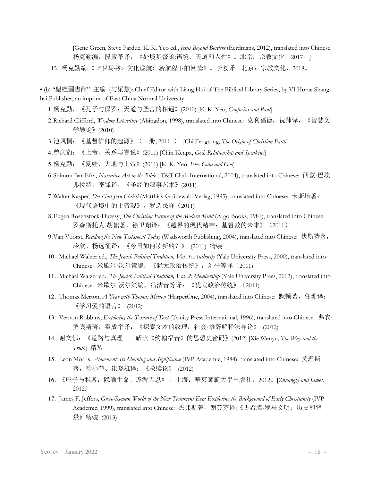[Gene Green, Steve Pardue, K. K. Yeo ed., *Jesus Beyond Borders* (Eerdmans, 2012), translated into Chinese: 杨克勤编,段素革译,《处境基督论:语境、天道和人性》。北京:宗教文化,2017。] 15. 杨克勤编:《《罗马书》文化巡航: 新航程下的阅读》。李羲译。北京: 宗教文化, 2018。

• (b) "聖經圖書館" 主编 (与梁慧): Chief Editor with Liang Hui of The Biblical Library Series, by VI Horae Shanghai Publisher, an imprint of East China Normal University.

1.杨克勤,《孔子与保罗:天道与圣言的相遇》(2010) [K. K. Yeo, *Confucius and Paul*]

- 2.Richard Clifford, *Wisdom Literature* (Abingdon, 1998), translated into Chinese: 克利福德, 祝帅译, 《智慧文 学导论》(2010)
- 3.池凤桐:《基督信仰的起源》(三册, 2011 ) [Chi Fengtong, *The Origin of Christian Faith*]
- 4.曾庆豹:《上帝、关系与言说》(2011) [Chin Kenpa, *God, Relationship and Speaking*]
- 5.杨克勤:《夏娃、大地与上帝》(2011) [K. K. Yeo, *Eve, Gaia and God*]
- 6.Shimon Bar-Efra, *Narrative Art in the Bible* ( T&T Clark International, 2004), translated into Chinese: 西蒙·巴埃 弗拉特,李锋译,《圣经的叙事艺术》(2011)
- 7.Walter Kasper, *Der Gott Jesu Christi* (Matthias-Grünewald Verlag, 1995), translated into Chinese: 卡斯培著: 《现代语境中的上帝观》,罗选民译(2011)
- 8.Eugen Rosenstock-Huessy, *The Christian Future of the Modern Mind* (Argo Books, 1981), translated into Chinese: 罗森斯托克-胡絮著,徐卫翔译:《越界的现代精神:基督教的未來》(2011)
- 9.Van Voorst, *Reading the New Testament Today* (Wadsworth Publishing, 2004), translated into Chinese: 伏斯特著, 冷欣、杨远征译:《今日如何读新约?》 (2011) 精装
- 10. Michael Walzer ed., *The Jewish Political Tradition, Vol. 1: Authority* (Yale University Press, 2000), translated into Chinese: 米歇尔·沃尔策编: 《犹太政治传统》, 刘平等译 (2011)
- 11. Michael Walzer ed., *The Jewish Political Tradition, Vol. 2: Membership* (Yale University Press, 2003), translated into Chinese: 米歇尔·沃尔策编, 冯洁音等译: 《犹太政治传统》 (2011)
- 12. Thomas Merton, *A Year with Thomas Merton* (HarperOne, 2004), translated into Chinese: 默顿著,任珊译: 《学习爱的语言》 (2012)
- 13. Vernon Robbins, *Exploring the Texture of Text* (Trinity Press International, 1996), translated into Chinese: 弗农· 罗宾斯著,霍成举译:《探索文本的纹理:社会-修辞解释法导论》 (2012)
- 14. 谢文郁:《道路与真理——解读《约翰福音》的思想史密码》(2012) [Xie Wenyu, *The Way and the Truth*] 精装
- 15. Leon Morris, *Atonement: Its Meaning and Significance* (IVP Academic, 1984), translated into Chinese: 莫理斯 著,喻小菲、崔晓雄译:《救赎论》 (2012)
- 16. 《庄子与雅各:隐喻生命、遨游天恩》 。上海:華東師範大學出版社,2012。[*Zhuangzi and James*. 2012.]
- 17. James F. Jeffers, *Greco-Roman World of the New Testament Era: Exploring the Background of Early Christianity* (IVP Academic, 1999), translated into Chinese: 杰弗斯著,谢芬芬译:《古希腊-罗马文明:历史和背 景》精装 (2013)